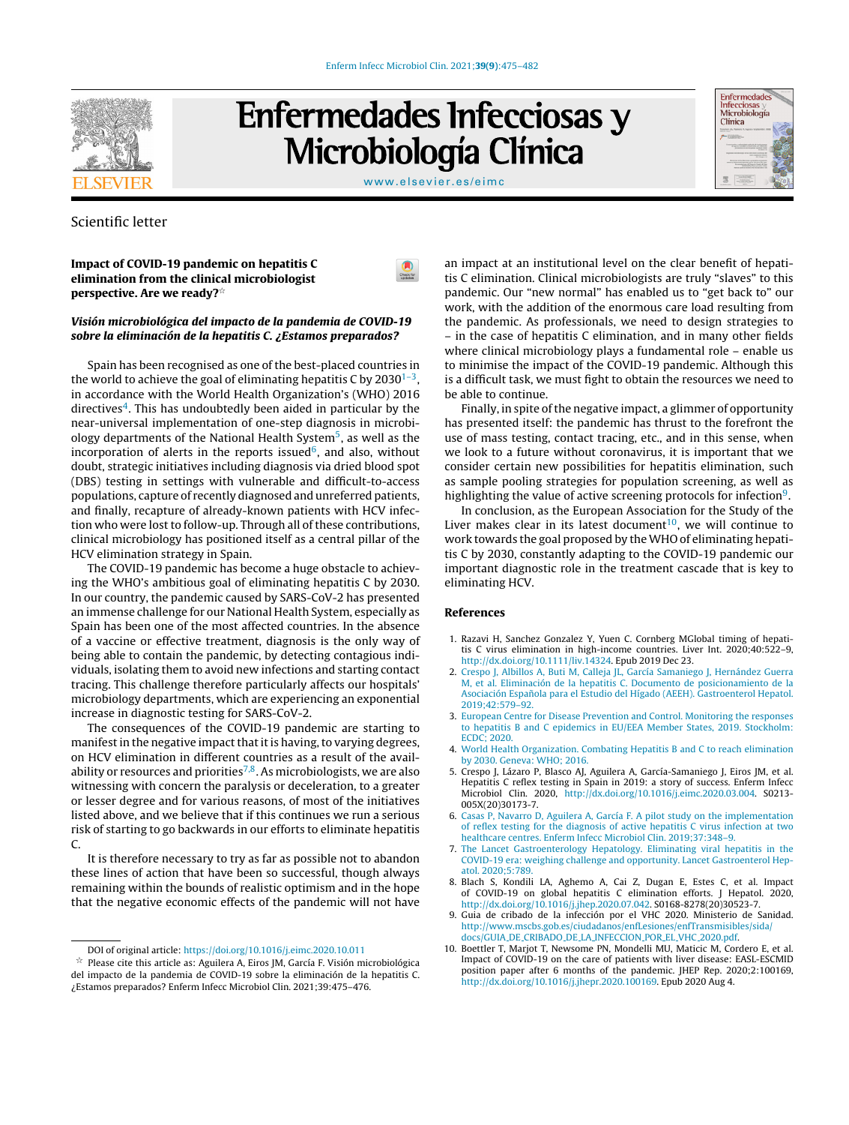

# Enfermedades Infecciosas y Microbiología Clínica

| <b>Enfermedades</b><br><b>Infecciosas</b><br>Microbiología<br>Clínica                                         |  |
|---------------------------------------------------------------------------------------------------------------|--|
| <b>CONSTRU-</b><br><b><i><u>President Controller</u></i></b><br>A carrier annually in Automatic car- Matricks |  |
| a film base and concern and con-<br>and a fire the country of the                                             |  |
| ----<br><b>STATISTICS</b><br>---                                                                              |  |

#### [www.elsevier.es/eimc](http://www.elsevier.es/eimc)

 $\bullet$ 

## Scientific letter

Impact of COVID-19 pandemic on hepatitis C elimination from the clinical microbiologist perspective. Are we ready? $^{\star}$ 

## Visión microbiológica del impacto de la pandemia de COVID-19 sobre la eliminación de la hepatitis C. ¿Estamos preparados?

Spain has been recognised as one of the best-placed countries in the world to achieve the goal of eliminating hepatitis C by 2030 $^{\rm 1-3},$ in accordance with the World Health Organization's (WHO) 2016 directives<sup>4</sup>. This has undoubtedly been aided in particular by the near-universal implementation of one-step diagnosis in microbiology departments of the National Health System<sup>5</sup>, as well as the incorporation of alerts in the reports issued<sup>6</sup>, and also, without doubt, strategic initiatives including diagnosis via dried blood spot (DBS) testing in settings with vulnerable and difficult-to-access populations, capture of recently diagnosed and unreferred patients, and finally, recapture of already-known patients with HCV infection who were lost to follow-up. Through all of these contributions, clinical microbiology has positioned itself as a central pillar of the HCV elimination strategy in Spain.

The COVID-19 pandemic has become a huge obstacle to achieving the WHO's ambitious goal of eliminating hepatitis C by 2030. In our country, the pandemic caused by SARS-CoV-2 has presented an immense challenge for our National Health System, especially as Spain has been one of the most affected countries. In the absence of a vaccine or effective treatment, diagnosis is the only way of being able to contain the pandemic, by detecting contagious individuals, isolating them to avoid new infections and starting contact tracing. This challenge therefore particularly affects our hospitals' microbiology departments, which are experiencing an exponential increase in diagnostic testing for SARS-CoV-2.

The consequences of the COVID-19 pandemic are starting to manifest in the negative impact that it is having, to varying degrees, on HCV elimination in different countries as a result of the availability or resources and priorities<sup>7,8</sup>. As microbiologists, we are also witnessing with concern the paralysis or deceleration, to a greater or lesser degree and for various reasons, of most of the initiatives listed above, and we believe that if this continues we run a serious risk of starting to go backwards in our efforts to eliminate hepatitis C.

It is therefore necessary to try as far as possible not to abandon these lines of action that have been so successful, though always remaining within the bounds of realistic optimism and in the hope that the negative economic effects of the pandemic will not have

an impact at an institutional level on the clear benefit of hepatitis C elimination. Clinical microbiologists are truly "slaves" to this pandemic. Our "new normal" has enabled us to "get back to" our work, with the addition of the enormous care load resulting from the pandemic. As professionals, we need to design strategies to – in the case of hepatitis C elimination, and in many other fields where clinical microbiology plays a fundamental role – enable us to minimise the impact of the COVID-19 pandemic. Although this is a difficult task, we must fight to obtain the resources we need to be able to continue.

Finally, in spite of the negative impact, a glimmer of opportunity has presented itself: the pandemic has thrust to the forefront the use of mass testing, contact tracing, etc., and in this sense, when we look to a future without coronavirus, it is important that we consider certain new possibilities for hepatitis elimination, such as sample pooling strategies for population screening, as well as highlighting the value of active screening protocols for infection<sup>9</sup>.

In conclusion, as the European Association for the Study of the Liver makes clear in its latest document $10$ , we will continue to work towards the goal proposed by the WHO of eliminating hepatitis C by 2030, constantly adapting to the COVID-19 pandemic our important diagnostic role in the treatment cascade that is key to eliminating HCV.

#### References

- 1. Razavi H, Sanchez Gonzalez Y, Yuen C. Cornberg MGlobal timing of hepatitis C virus elimination in high-income countries. Liver Int. 2020;40:522–9, [http://dx.doi.org/10.1111/liv.14324](dx.doi.org/10.1111/liv.14324). Epub 2019 Dec 23.
- 2. [Crespo](http://refhub.elsevier.com/S2529-993X(21)00159-3/sbref0010) [J,](http://refhub.elsevier.com/S2529-993X(21)00159-3/sbref0010) [Albillos](http://refhub.elsevier.com/S2529-993X(21)00159-3/sbref0010) [A,](http://refhub.elsevier.com/S2529-993X(21)00159-3/sbref0010) [Buti](http://refhub.elsevier.com/S2529-993X(21)00159-3/sbref0010) [M,](http://refhub.elsevier.com/S2529-993X(21)00159-3/sbref0010) [Calleja](http://refhub.elsevier.com/S2529-993X(21)00159-3/sbref0010) [JL,](http://refhub.elsevier.com/S2529-993X(21)00159-3/sbref0010) [García](http://refhub.elsevier.com/S2529-993X(21)00159-3/sbref0010) [Samaniego](http://refhub.elsevier.com/S2529-993X(21)00159-3/sbref0010) [J,](http://refhub.elsevier.com/S2529-993X(21)00159-3/sbref0010) [Hernández](http://refhub.elsevier.com/S2529-993X(21)00159-3/sbref0010) [Guerra](http://refhub.elsevier.com/S2529-993X(21)00159-3/sbref0010) [M,](http://refhub.elsevier.com/S2529-993X(21)00159-3/sbref0010) [et](http://refhub.elsevier.com/S2529-993X(21)00159-3/sbref0010) [al.](http://refhub.elsevier.com/S2529-993X(21)00159-3/sbref0010) [Eliminación](http://refhub.elsevier.com/S2529-993X(21)00159-3/sbref0010) [de](http://refhub.elsevier.com/S2529-993X(21)00159-3/sbref0010) [la](http://refhub.elsevier.com/S2529-993X(21)00159-3/sbref0010) [hepatitis](http://refhub.elsevier.com/S2529-993X(21)00159-3/sbref0010) [C.](http://refhub.elsevier.com/S2529-993X(21)00159-3/sbref0010) [Documento](http://refhub.elsevier.com/S2529-993X(21)00159-3/sbref0010) [de](http://refhub.elsevier.com/S2529-993X(21)00159-3/sbref0010) [posicionamiento](http://refhub.elsevier.com/S2529-993X(21)00159-3/sbref0010) [de](http://refhub.elsevier.com/S2529-993X(21)00159-3/sbref0010) [la](http://refhub.elsevier.com/S2529-993X(21)00159-3/sbref0010) [Asociación](http://refhub.elsevier.com/S2529-993X(21)00159-3/sbref0010) Española [para](http://refhub.elsevier.com/S2529-993X(21)00159-3/sbref0010) [el](http://refhub.elsevier.com/S2529-993X(21)00159-3/sbref0010) [Estudio](http://refhub.elsevier.com/S2529-993X(21)00159-3/sbref0010) [del](http://refhub.elsevier.com/S2529-993X(21)00159-3/sbref0010) [Hígado](http://refhub.elsevier.com/S2529-993X(21)00159-3/sbref0010) [\(AEEH\).](http://refhub.elsevier.com/S2529-993X(21)00159-3/sbref0010) [Gastroenterol](http://refhub.elsevier.com/S2529-993X(21)00159-3/sbref0010) [Hepatol.](http://refhub.elsevier.com/S2529-993X(21)00159-3/sbref0010) [2019;42:579–92.](http://refhub.elsevier.com/S2529-993X(21)00159-3/sbref0010)
- 3. [European](http://refhub.elsevier.com/S2529-993X(21)00159-3/sbref0015) [Centre](http://refhub.elsevier.com/S2529-993X(21)00159-3/sbref0015) [for](http://refhub.elsevier.com/S2529-993X(21)00159-3/sbref0015) [Disease](http://refhub.elsevier.com/S2529-993X(21)00159-3/sbref0015) [Prevention](http://refhub.elsevier.com/S2529-993X(21)00159-3/sbref0015) [and](http://refhub.elsevier.com/S2529-993X(21)00159-3/sbref0015) [Control.](http://refhub.elsevier.com/S2529-993X(21)00159-3/sbref0015) [Monitoring](http://refhub.elsevier.com/S2529-993X(21)00159-3/sbref0015) [the](http://refhub.elsevier.com/S2529-993X(21)00159-3/sbref0015) [responses](http://refhub.elsevier.com/S2529-993X(21)00159-3/sbref0015) [to](http://refhub.elsevier.com/S2529-993X(21)00159-3/sbref0015) [hepatitis](http://refhub.elsevier.com/S2529-993X(21)00159-3/sbref0015) [B](http://refhub.elsevier.com/S2529-993X(21)00159-3/sbref0015) [and](http://refhub.elsevier.com/S2529-993X(21)00159-3/sbref0015) [C](http://refhub.elsevier.com/S2529-993X(21)00159-3/sbref0015) [epidemics](http://refhub.elsevier.com/S2529-993X(21)00159-3/sbref0015) [in](http://refhub.elsevier.com/S2529-993X(21)00159-3/sbref0015) [EU/EEA](http://refhub.elsevier.com/S2529-993X(21)00159-3/sbref0015) [Member](http://refhub.elsevier.com/S2529-993X(21)00159-3/sbref0015) [States,](http://refhub.elsevier.com/S2529-993X(21)00159-3/sbref0015) [2019.](http://refhub.elsevier.com/S2529-993X(21)00159-3/sbref0015) [Stockholm:](http://refhub.elsevier.com/S2529-993X(21)00159-3/sbref0015) **ECDC: 2020**
- 4. [World](http://refhub.elsevier.com/S2529-993X(21)00159-3/sbref0020) [Health](http://refhub.elsevier.com/S2529-993X(21)00159-3/sbref0020) [Organization.](http://refhub.elsevier.com/S2529-993X(21)00159-3/sbref0020) [Combating](http://refhub.elsevier.com/S2529-993X(21)00159-3/sbref0020) [Hepatitis](http://refhub.elsevier.com/S2529-993X(21)00159-3/sbref0020) [B](http://refhub.elsevier.com/S2529-993X(21)00159-3/sbref0020) [and](http://refhub.elsevier.com/S2529-993X(21)00159-3/sbref0020) [C](http://refhub.elsevier.com/S2529-993X(21)00159-3/sbref0020) [to](http://refhub.elsevier.com/S2529-993X(21)00159-3/sbref0020) [reach](http://refhub.elsevier.com/S2529-993X(21)00159-3/sbref0020) [elimination](http://refhub.elsevier.com/S2529-993X(21)00159-3/sbref0020) [by](http://refhub.elsevier.com/S2529-993X(21)00159-3/sbref0020) [2030.](http://refhub.elsevier.com/S2529-993X(21)00159-3/sbref0020) [Geneva:](http://refhub.elsevier.com/S2529-993X(21)00159-3/sbref0020) [WHO;](http://refhub.elsevier.com/S2529-993X(21)00159-3/sbref0020) [2016.](http://refhub.elsevier.com/S2529-993X(21)00159-3/sbref0020)
- 5. Crespo J, Lázaro P, Blasco AJ, Aguilera A, García-Samaniego J, Eiros JM, et al. Hepatitis C reflex testing in Spain in 2019: a story of success. Enferm Infecc Microbiol Clin. 2020, [http://dx.doi.org/10.1016/j.eimc.2020.03.004.](dx.doi.org/10.1016/j.eimc.2020.03.004) S0213- 005X(20)30173-7.
- 6. [Casas](http://refhub.elsevier.com/S2529-993X(21)00159-3/sbref0030) [P,](http://refhub.elsevier.com/S2529-993X(21)00159-3/sbref0030) [Navarro](http://refhub.elsevier.com/S2529-993X(21)00159-3/sbref0030) [D,](http://refhub.elsevier.com/S2529-993X(21)00159-3/sbref0030) [Aguilera](http://refhub.elsevier.com/S2529-993X(21)00159-3/sbref0030) [A,](http://refhub.elsevier.com/S2529-993X(21)00159-3/sbref0030) [García](http://refhub.elsevier.com/S2529-993X(21)00159-3/sbref0030) [F.](http://refhub.elsevier.com/S2529-993X(21)00159-3/sbref0030) [A](http://refhub.elsevier.com/S2529-993X(21)00159-3/sbref0030) [pilot](http://refhub.elsevier.com/S2529-993X(21)00159-3/sbref0030) [study](http://refhub.elsevier.com/S2529-993X(21)00159-3/sbref0030) [on](http://refhub.elsevier.com/S2529-993X(21)00159-3/sbref0030) [the](http://refhub.elsevier.com/S2529-993X(21)00159-3/sbref0030) [implementation](http://refhub.elsevier.com/S2529-993X(21)00159-3/sbref0030) [of](http://refhub.elsevier.com/S2529-993X(21)00159-3/sbref0030) [reflex](http://refhub.elsevier.com/S2529-993X(21)00159-3/sbref0030) [testing](http://refhub.elsevier.com/S2529-993X(21)00159-3/sbref0030) [for](http://refhub.elsevier.com/S2529-993X(21)00159-3/sbref0030) [the](http://refhub.elsevier.com/S2529-993X(21)00159-3/sbref0030) [diagnosis](http://refhub.elsevier.com/S2529-993X(21)00159-3/sbref0030) [of](http://refhub.elsevier.com/S2529-993X(21)00159-3/sbref0030) [active](http://refhub.elsevier.com/S2529-993X(21)00159-3/sbref0030) [hepatitis](http://refhub.elsevier.com/S2529-993X(21)00159-3/sbref0030) [C](http://refhub.elsevier.com/S2529-993X(21)00159-3/sbref0030) [virus](http://refhub.elsevier.com/S2529-993X(21)00159-3/sbref0030) [infection](http://refhub.elsevier.com/S2529-993X(21)00159-3/sbref0030) [at](http://refhub.elsevier.com/S2529-993X(21)00159-3/sbref0030) [two](http://refhub.elsevier.com/S2529-993X(21)00159-3/sbref0030) [healthcare](http://refhub.elsevier.com/S2529-993X(21)00159-3/sbref0030) [centres.](http://refhub.elsevier.com/S2529-993X(21)00159-3/sbref0030) [Enferm](http://refhub.elsevier.com/S2529-993X(21)00159-3/sbref0030) [Infecc](http://refhub.elsevier.com/S2529-993X(21)00159-3/sbref0030) [Microbiol](http://refhub.elsevier.com/S2529-993X(21)00159-3/sbref0030) [Clin.](http://refhub.elsevier.com/S2529-993X(21)00159-3/sbref0030) [2019;37:348](http://refhub.elsevier.com/S2529-993X(21)00159-3/sbref0030)–[9.](http://refhub.elsevier.com/S2529-993X(21)00159-3/sbref0030)
- 7. [The](http://refhub.elsevier.com/S2529-993X(21)00159-3/sbref0035) [Lancet](http://refhub.elsevier.com/S2529-993X(21)00159-3/sbref0035) [Gastroenterology](http://refhub.elsevier.com/S2529-993X(21)00159-3/sbref0035) [Hepatology.](http://refhub.elsevier.com/S2529-993X(21)00159-3/sbref0035) [Eliminating](http://refhub.elsevier.com/S2529-993X(21)00159-3/sbref0035) [viral](http://refhub.elsevier.com/S2529-993X(21)00159-3/sbref0035) [hepatitis](http://refhub.elsevier.com/S2529-993X(21)00159-3/sbref0035) [in](http://refhub.elsevier.com/S2529-993X(21)00159-3/sbref0035) [the](http://refhub.elsevier.com/S2529-993X(21)00159-3/sbref0035) [COVID-19](http://refhub.elsevier.com/S2529-993X(21)00159-3/sbref0035) [era:](http://refhub.elsevier.com/S2529-993X(21)00159-3/sbref0035) [weighing](http://refhub.elsevier.com/S2529-993X(21)00159-3/sbref0035) [challenge](http://refhub.elsevier.com/S2529-993X(21)00159-3/sbref0035) [and](http://refhub.elsevier.com/S2529-993X(21)00159-3/sbref0035) [opportunity.](http://refhub.elsevier.com/S2529-993X(21)00159-3/sbref0035) [Lancet](http://refhub.elsevier.com/S2529-993X(21)00159-3/sbref0035) [Gastroenterol](http://refhub.elsevier.com/S2529-993X(21)00159-3/sbref0035) [Hep](http://refhub.elsevier.com/S2529-993X(21)00159-3/sbref0035)[atol.](http://refhub.elsevier.com/S2529-993X(21)00159-3/sbref0035) [2020;5:789.](http://refhub.elsevier.com/S2529-993X(21)00159-3/sbref0035)
- 8. Blach S, Kondili LA, Aghemo A, Cai Z, Dugan E, Estes C, et al. Impact of COVID-19 on global hepatitis C elimination efforts. J Hepatol. 2020, [http://dx.doi.org/10.1016/j.jhep.2020.07.042](dx.doi.org/10.1016/j.jhep.2020.07.042). S0168-8278(20)30523-7.
- 9. Guia de cribado de la infección por el VHC 2020. Ministerio de Sanidad. [http://www.mscbs.gob.es/ciudadanos/enfLesiones/enfTransmisibles/sida/](http://www.mscbs.gob.es/ciudadanos/enfLesiones/enfTransmisibles/sida/docs/GUIA_DE_CRIBADO_DE_LA_INFECCION_POR_EL_VHC_2020.pdf) docs/GUIA DE CRIBADO DE LA [INFECCION](http://www.mscbs.gob.es/ciudadanos/enfLesiones/enfTransmisibles/sida/docs/GUIA_DE_CRIBADO_DE_LA_INFECCION_POR_EL_VHC_2020.pdf) POR EL VHC 2020.pdf.
- 10. Boettler T, Marjot T, Newsome PN, Mondelli MU, Maticic M, Cordero E, et al. Impact of COVID-19 on the care of patients with liver disease: EASL-ESCMID position paper after 6 months of the pandemic. JHEP Rep. 2020;2:100169, [http://dx.doi.org/10.1016/j.jhepr.2020.100169](dx.doi.org/10.1016/j.jhepr.2020.100169). Epub 2020 Aug 4.

DOI of original article: <https://doi.org/10.1016/j.eimc.2020.10.011>

 $\star$  Please cite this article as: Aguilera A, Eiros JM, García F. Visión microbiológica del impacto de la pandemia de COVID-19 sobre la eliminación de la hepatitis C. ¿Estamos preparados? Enferm Infecc Microbiol Clin. 2021;39:475–476.